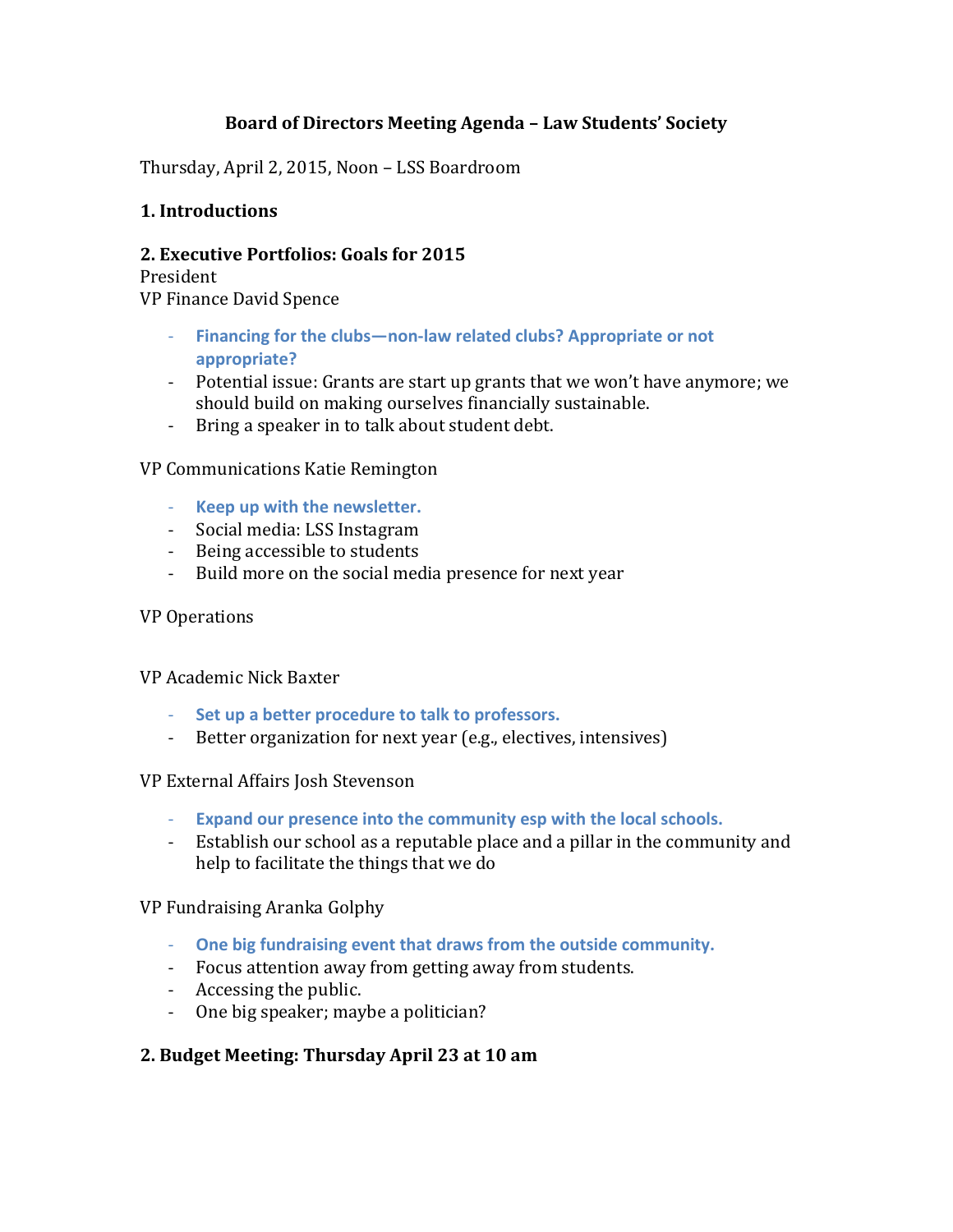# **Board of Directors Meeting Agenda – Law Students' Society**

Thursday, April 2, 2015, Noon – LSS Boardroom

# **1. Introductions**

# **2. Executive Portfolios: Goals for 2015**

President VP Finance David Spence

- **Financing for the clubs—non-law related clubs? Appropriate or not appropriate?**
- Potential issue: Grants are start up grants that we won't have anymore; we should build on making ourselves financially sustainable.
- Bring a speaker in to talk about student debt.

## VP Communications Katie Remington

- **Keep up with the newsletter.**
- Social media: LSS Instagram
- Being accessible to students
- Build more on the social media presence for next year

## VP Operations

## VP Academic Nick Baxter

- **Set up a better procedure to talk to professors.**
- Better organization for next year (e.g., electives, intensives)

## VP External Affairs Josh Stevenson

- **Expand our presence into the community esp with the local schools.**
- Establish our school as a reputable place and a pillar in the community and help to facilitate the things that we do

# VP Fundraising Aranka Golphy

- **One big fundraising event that draws from the outside community.**
- Focus attention away from getting away from students.
- Accessing the public.
- One big speaker; maybe a politician?

# **2. Budget Meeting: Thursday April 23 at 10 am**